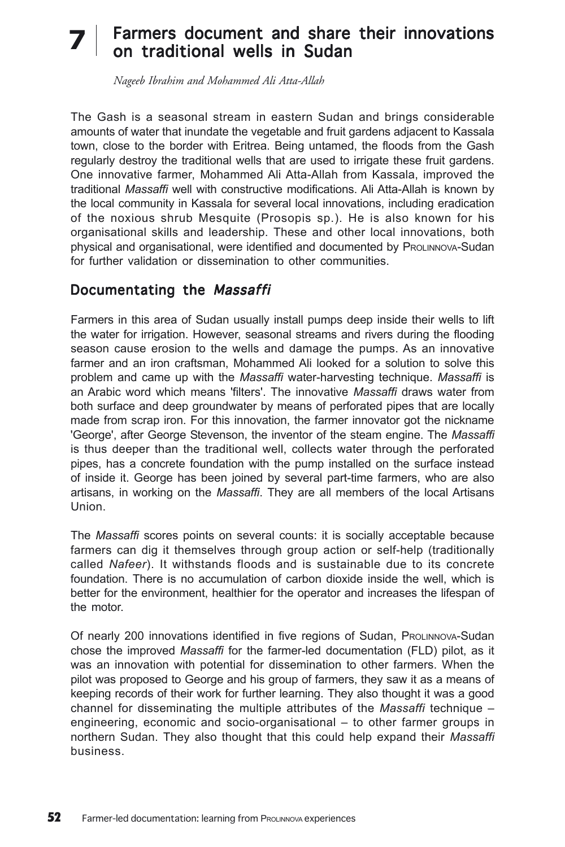# Farmers document and share their innovations **7**on traditional wells in Sudan

*Nageeb Ibrahim and Mohammed Ali Atta-Allah*

The Gash is a seasonal stream in eastern Sudan and brings considerable amounts of water that inundate the vegetable and fruit gardens adjacent to Kassala town, close to the border with Eritrea. Being untamed, the floods from the Gash regularly destroy the traditional wells that are used to irrigate these fruit gardens. One innovative farmer, Mohammed Ali Atta-Allah from Kassala, improved the traditional *Massaffi* well with constructive modifications. Ali Atta-Allah is known by the local community in Kassala for several local innovations, including eradication of the noxious shrub Mesquite (Prosopis sp.). He is also known for his organisational skills and leadership. These and other local innovations, both physical and organisational, were identified and documented by PROLINNOVA-Sudan for further validation or dissemination to other communities.

## Documentating the Massaffi

Farmers in this area of Sudan usually install pumps deep inside their wells to lift the water for irrigation. However, seasonal streams and rivers during the flooding season cause erosion to the wells and damage the pumps. As an innovative farmer and an iron craftsman, Mohammed Ali looked for a solution to solve this problem and came up with the *Massaffi* water-harvesting technique. *Massaffi* is an Arabic word which means 'filters'. The innovative *Massaffi* draws water from both surface and deep groundwater by means of perforated pipes that are locally made from scrap iron. For this innovation, the farmer innovator got the nickname 'George', after George Stevenson, the inventor of the steam engine. The *Massaffi* is thus deeper than the traditional well, collects water through the perforated pipes, has a concrete foundation with the pump installed on the surface instead of inside it. George has been joined by several part-time farmers, who are also artisans, in working on the *Massaffi*. They are all members of the local Artisans Union.

The *Massaffi* scores points on several counts: it is socially acceptable because farmers can dig it themselves through group action or self-help (traditionally called *Nafeer*). It withstands floods and is sustainable due to its concrete foundation. There is no accumulation of carbon dioxide inside the well, which is better for the environment, healthier for the operator and increases the lifespan of the motor.

Of nearly 200 innovations identified in five regions of Sudan, PROLINNOVA-Sudan chose the improved *Massaffi* for the farmer-led documentation (FLD) pilot, as it was an innovation with potential for dissemination to other farmers. When the pilot was proposed to George and his group of farmers, they saw it as a means of keeping records of their work for further learning. They also thought it was a good channel for disseminating the multiple attributes of the *Massaffi* technique – engineering, economic and socio-organisational – to other farmer groups in northern Sudan. They also thought that this could help expand their *Massaffi* business.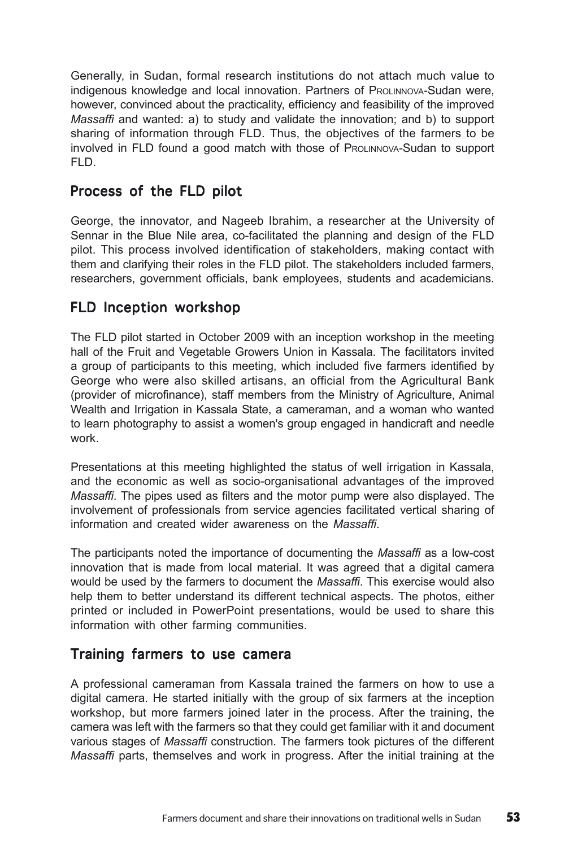Generally, in Sudan, formal research institutions do not attach much value to indigenous knowledge and local innovation. Partners of PROLINNOVA-Sudan were, however, convinced about the practicality, efficiency and feasibility of the improved *Massaffi* and wanted: a) to study and validate the innovation; and b) to support sharing of information through FLD. Thus, the objectives of the farmers to be involved in FLD found a good match with those of PROLINNOVA-Sudan to support FLD.

#### Process of the FLD pilot

George, the innovator, and Nageeb Ibrahim, a researcher at the University of Sennar in the Blue Nile area, co-facilitated the planning and design of the FLD pilot. This process involved identification of stakeholders, making contact with them and clarifying their roles in the FLD pilot. The stakeholders included farmers, researchers, government officials, bank employees, students and academicians.

## FLD Inception workshop

The FLD pilot started in October 2009 with an inception workshop in the meeting hall of the Fruit and Vegetable Growers Union in Kassala. The facilitators invited a group of participants to this meeting, which included five farmers identified by George who were also skilled artisans, an official from the Agricultural Bank (provider of microfinance), staff members from the Ministry of Agriculture, Animal Wealth and Irrigation in Kassala State, a cameraman, and a woman who wanted to learn photography to assist a women's group engaged in handicraft and needle work.

Presentations at this meeting highlighted the status of well irrigation in Kassala, and the economic as well as socio-organisational advantages of the improved *Massaffi*. The pipes used as filters and the motor pump were also displayed. The involvement of professionals from service agencies facilitated vertical sharing of information and created wider awareness on the *Massaffi*.

The participants noted the importance of documenting the *Massaffi* as a low-cost innovation that is made from local material. It was agreed that a digital camera would be used by the farmers to document the *Massaffi*. This exercise would also help them to better understand its different technical aspects. The photos, either printed or included in PowerPoint presentations, would be used to share this information with other farming communities.

#### Training farmers to use camera

A professional cameraman from Kassala trained the farmers on how to use a digital camera. He started initially with the group of six farmers at the inception workshop, but more farmers joined later in the process. After the training, the camera was left with the farmers so that they could get familiar with it and document various stages of *Massaffi* construction. The farmers took pictures of the different *Massaffi* parts, themselves and work in progress. After the initial training at the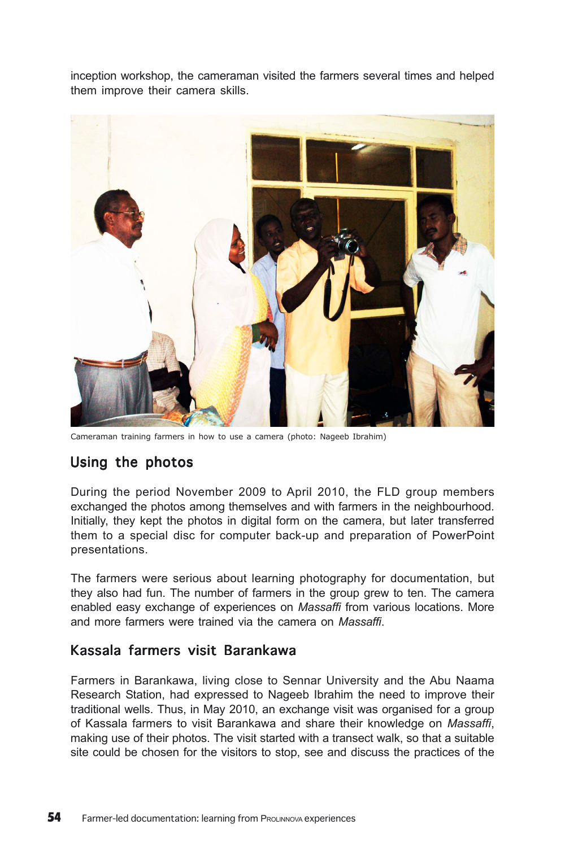inception workshop, the cameraman visited the farmers several times and helped them improve their camera skills.



Cameraman training farmers in how to use a camera (photo: Nageeb Ibrahim)

# Using the photos

During the period November 2009 to April 2010, the FLD group members exchanged the photos among themselves and with farmers in the neighbourhood. Initially, they kept the photos in digital form on the camera, but later transferred them to a special disc for computer back-up and preparation of PowerPoint presentations.

The farmers were serious about learning photography for documentation, but they also had fun. The number of farmers in the group grew to ten. The camera enabled easy exchange of experiences on *Massaffi* from various locations. More and more farmers were trained via the camera on *Massaffi*.

#### Kassala farmers visit Barankawa

Farmers in Barankawa, living close to Sennar University and the Abu Naama Research Station, had expressed to Nageeb Ibrahim the need to improve their traditional wells. Thus, in May 2010, an exchange visit was organised for a group of Kassala farmers to visit Barankawa and share their knowledge on *Massaffi*, making use of their photos. The visit started with a transect walk, so that a suitable site could be chosen for the visitors to stop, see and discuss the practices of the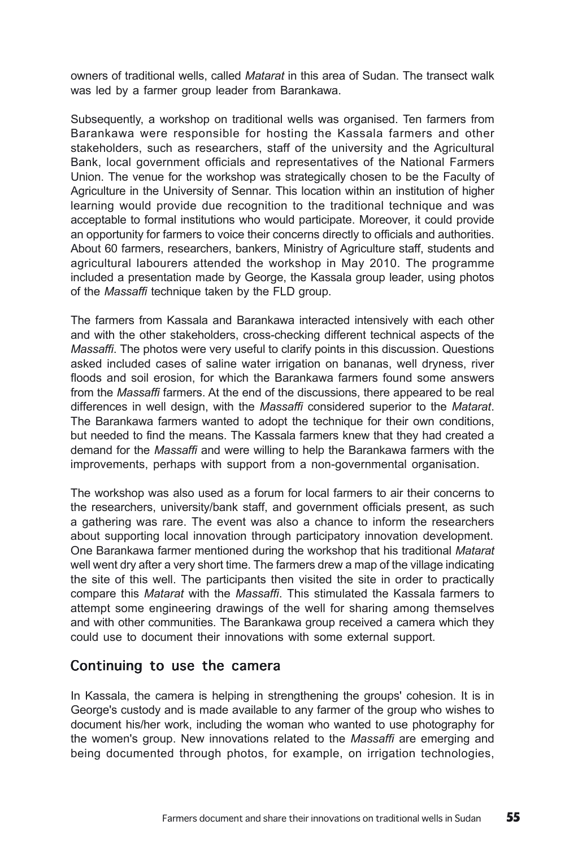owners of traditional wells, called *Matarat* in this area of Sudan. The transect walk was led by a farmer group leader from Barankawa.

Subsequently, a workshop on traditional wells was organised. Ten farmers from Barankawa were responsible for hosting the Kassala farmers and other stakeholders, such as researchers, staff of the university and the Agricultural Bank, local government officials and representatives of the National Farmers Union. The venue for the workshop was strategically chosen to be the Faculty of Agriculture in the University of Sennar. This location within an institution of higher learning would provide due recognition to the traditional technique and was acceptable to formal institutions who would participate. Moreover, it could provide an opportunity for farmers to voice their concerns directly to officials and authorities. About 60 farmers, researchers, bankers, Ministry of Agriculture staff, students and agricultural labourers attended the workshop in May 2010. The programme included a presentation made by George, the Kassala group leader, using photos of the *Massaffi* technique taken by the FLD group.

The farmers from Kassala and Barankawa interacted intensively with each other and with the other stakeholders, cross-checking different technical aspects of the *Massaffi*. The photos were very useful to clarify points in this discussion. Questions asked included cases of saline water irrigation on bananas, well dryness, river floods and soil erosion, for which the Barankawa farmers found some answers from the *Massaffi* farmers. At the end of the discussions, there appeared to be real differences in well design, with the *Massaffi* considered superior to the *Matarat*. The Barankawa farmers wanted to adopt the technique for their own conditions, but needed to find the means. The Kassala farmers knew that they had created a demand for the *Massaffi* and were willing to help the Barankawa farmers with the improvements, perhaps with support from a non-governmental organisation.

The workshop was also used as a forum for local farmers to air their concerns to the researchers, university/bank staff, and government officials present, as such a gathering was rare. The event was also a chance to inform the researchers about supporting local innovation through participatory innovation development. One Barankawa farmer mentioned during the workshop that his traditional *Matarat* well went dry after a very short time. The farmers drew a map of the village indicating the site of this well. The participants then visited the site in order to practically compare this *Matarat* with the *Massaffi*. This stimulated the Kassala farmers to attempt some engineering drawings of the well for sharing among themselves and with other communities. The Barankawa group received a camera which they could use to document their innovations with some external support.

#### Continuing to use the camera

In Kassala, the camera is helping in strengthening the groups' cohesion. It is in George's custody and is made available to any farmer of the group who wishes to document his/her work, including the woman who wanted to use photography for the women's group. New innovations related to the *Massaffi* are emerging and being documented through photos, for example, on irrigation technologies,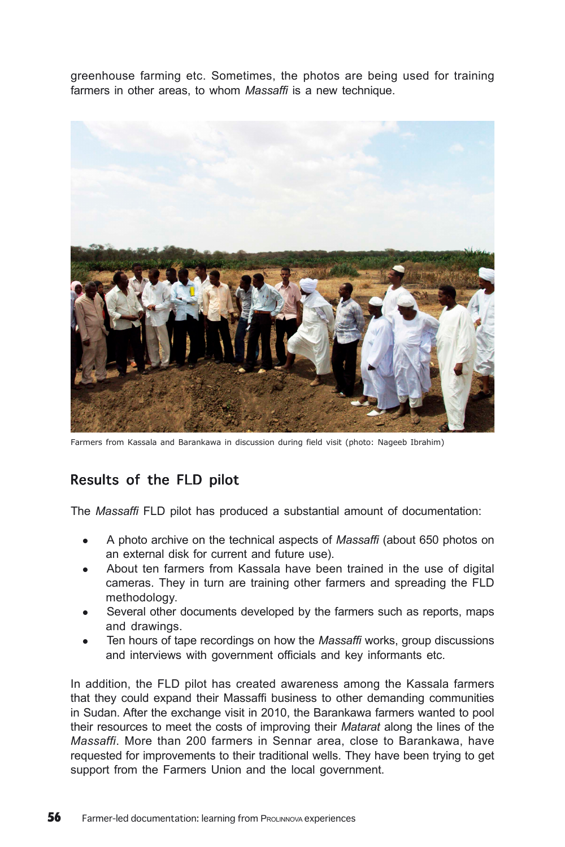greenhouse farming etc. Sometimes, the photos are being used for training farmers in other areas, to whom *Massaffi* is a new technique.



Farmers from Kassala and Barankawa in discussion during field visit (photo: Nageeb Ibrahim)

# Results of the FLD pilot

The *Massaffi* FLD pilot has produced a substantial amount of documentation:

- <sup>z</sup> A photo archive on the technical aspects of *Massaffi* (about 650 photos on an external disk for current and future use).
- About ten farmers from Kassala have been trained in the use of digital cameras. They in turn are training other farmers and spreading the FLD methodology.
- Several other documents developed by the farmers such as reports, maps and drawings.
- Ten hours of tape recordings on how the *Massaffi* works, group discussions and interviews with government officials and key informants etc.

In addition, the FLD pilot has created awareness among the Kassala farmers that they could expand their Massaffi business to other demanding communities in Sudan. After the exchange visit in 2010, the Barankawa farmers wanted to pool their resources to meet the costs of improving their *Matarat* along the lines of the *Massaffi*. More than 200 farmers in Sennar area, close to Barankawa, have requested for improvements to their traditional wells. They have been trying to get support from the Farmers Union and the local government.